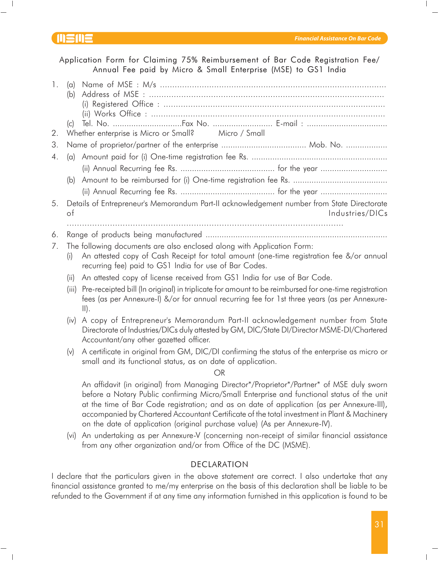Application Form for Claiming 75% Reimbursement of Bar Code Registration Fee/ Annual Fee paid by Micro & Small Enterprise (MSE) to GS1 India

| 1. | (a)<br>(b) |                                                                                                                                                                                                                              |
|----|------------|------------------------------------------------------------------------------------------------------------------------------------------------------------------------------------------------------------------------------|
|    | (c)        |                                                                                                                                                                                                                              |
| 2. |            | Whether enterprise is Micro or Small? Micro / Small                                                                                                                                                                          |
| 3. |            |                                                                                                                                                                                                                              |
| 4. |            |                                                                                                                                                                                                                              |
|    |            |                                                                                                                                                                                                                              |
|    |            |                                                                                                                                                                                                                              |
|    |            |                                                                                                                                                                                                                              |
| 5. | of         | Details of Entrepreneur's Memorandum Part-II acknowledgement number from State Directorate<br>Industries/DICs                                                                                                                |
|    |            |                                                                                                                                                                                                                              |
| 6. |            |                                                                                                                                                                                                                              |
| 7. | (i)        | The following documents are also enclosed along with Application Form:<br>An attested copy of Cash Receipt for total amount (one-time registration fee &/or annual<br>recurring fee) paid to GS1 India for use of Bar Codes. |
|    | (ii)       | An attested copy of license received from GS1 India for use of Bar Code.                                                                                                                                                     |
|    |            |                                                                                                                                                                                                                              |

- (iii) Pre-receipted bill (In original) in triplicate for amount to be reimbursed for one-time registration fees (as per Annexure-I) &/or for annual recurring fee for 1st three years (as per Annexure-II).
- (iv) A copy of Entrepreneur's Memorandum Part-II acknowledgement number from State Directorate of Industries/DICs duly attested by GM, DIC/State DI/Director MSME-DI/Chartered Accountant/any other gazetted officer.
- (v) A certificate in original from GM, DIC/DI confirming the status of the enterprise as micro or small and its functional status, as on date of application.

OR

An affidavit (in original) from Managing Director\*/Proprietor\*/Partner\* of MSE duly sworn before a Notary Public confirming Micro/Small Enterprise and functional status of the unit at the time of Bar Code registration; and as on date of application (as per Annexure-III), accompanied by Chartered Accountant Certificate of the total investment in Plant & Machinery on the date of application (original purchase value) (As per Annexure-IV).

(vi) An undertaking as per Annexure-V (concerning non-receipt of similar financial assistance from any other organization and/or from Office of the DC (MSME).

## DECLARATION

I declare that the particulars given in the above statement are correct. I also undertake that any financial assistance granted to me/my enterprise on the basis of this declaration shall be liable to be refunded to the Government if at any time any information furnished in this application is found to be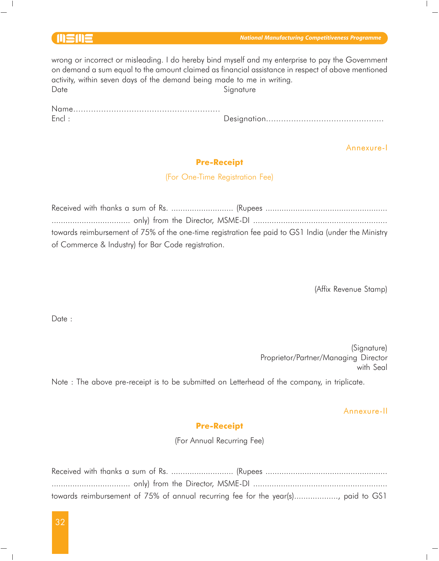| and the contract of the contract of |  |  |
|-------------------------------------|--|--|
|                                     |  |  |

wrong or incorrect or misleading. I do hereby bind myself and my enterprise to pay the Government on demand a sum equal to the amount claimed as financial assistance in respect of above mentioned activity, within seven days of the demand being made to me in writing. Date Signature

| Encl: |  |
|-------|--|

Encl : Designation...............................................

Annexure-I

## Pre-Receipt

(For One-Time Registration Fee)

|                                                    | towards reimbursement of 75% of the one-time registration fee paid to GS1 India (under the Ministry |
|----------------------------------------------------|-----------------------------------------------------------------------------------------------------|
| of Commerce & Industry) for Bar Code registration. |                                                                                                     |

(Affix Revenue Stamp)

Date:

(Signature) Proprietor/Partner/Managing Director with Seal

Note : The above pre-receipt is to be submitted on Letterhead of the company, in triplicate.

#### Annexure-II

## Pre-Receipt

(For Annual Recurring Fee)

| towards reimbursement of 75% of annual recurring fee for the year(s), paid to GS1 |  |  |
|-----------------------------------------------------------------------------------|--|--|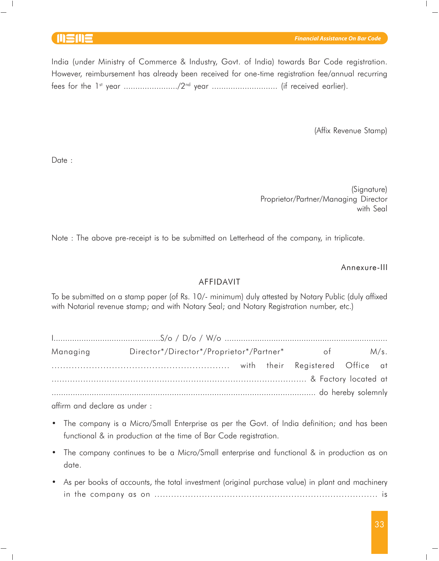India (under Ministry of Commerce & Industry, Govt. of India) towards Bar Code registration. However, reimbursement has already been received for one-time registration fee/annual recurring fees for the 1st year ......................./2nd year ............................ (if received earlier).

(Affix Revenue Stamp)

Date :

(Signature) Proprietor/Partner/Managing Director with Seal

Note : The above pre-receipt is to be submitted on Letterhead of the company, in triplicate.

Annexure-III

### AFFIDAVIT

To be submitted on a stamp paper (of Rs. 10/- minimum) duly attested by Notary Public (duly affixed with Notarial revenue stamp; and with Notary Seal; and Notary Registration number, etc.)

| Managing | Director*/Director*/Proprietor*/Partner* of M/s. |  |  |  |
|----------|--------------------------------------------------|--|--|--|
|          |                                                  |  |  |  |
|          |                                                  |  |  |  |
|          |                                                  |  |  |  |
|          |                                                  |  |  |  |

affirm and declare as under :

- The company is a Micro/Small Enterprise as per the Govt. of India definition; and has been functional & in production at the time of Bar Code registration.
- The company continues to be a Micro/Small enterprise and functional & in production as on date.
- As per books of accounts, the total investment (original purchase value) in plant and machinery in the company as on ................................................................................ is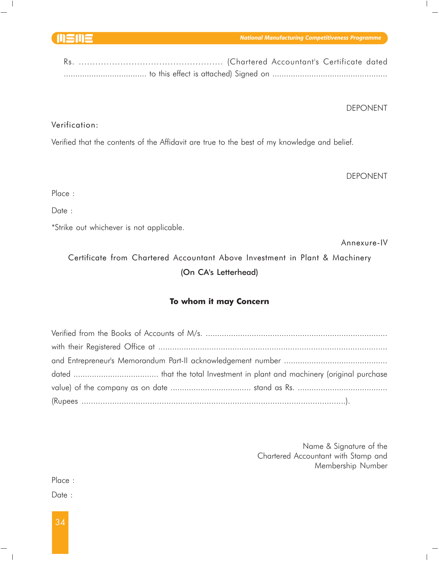*National Manufacturing Competitiveness Programme*

DEPONENT

# Verification:

Verified that the contents of the Affidavit are true to the best of my knowledge and belief.

DEPONENT

Place :

Date :

\*Strike out whichever is not applicable.

Annexure-IV

Certificate from Chartered Accountant Above Investment in Plant & Machinery (On CA's Letterhead)

# To whom it may Concern

Name & Signature of the Chartered Accountant with Stamp and Membership Number

Place :

Date :